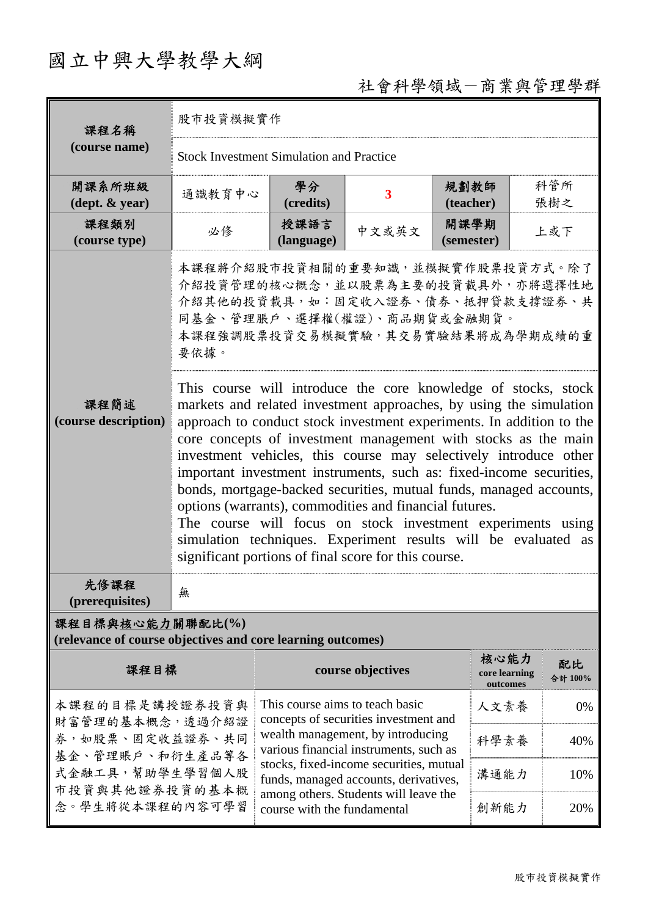# 國立中興大學教學大綱

## 社會科學領域-商業與管理學群

| 課程名稱<br>(course name)                                                           | 股市投資模擬實作                                                                                                                                                                                                                                                                                                                                                                                                                                                                                                                                                                                                                                                                                                                                           |                                                                                                                                                         |                         |                    |                                   |               |  |  |
|---------------------------------------------------------------------------------|----------------------------------------------------------------------------------------------------------------------------------------------------------------------------------------------------------------------------------------------------------------------------------------------------------------------------------------------------------------------------------------------------------------------------------------------------------------------------------------------------------------------------------------------------------------------------------------------------------------------------------------------------------------------------------------------------------------------------------------------------|---------------------------------------------------------------------------------------------------------------------------------------------------------|-------------------------|--------------------|-----------------------------------|---------------|--|--|
|                                                                                 | <b>Stock Investment Simulation and Practice</b>                                                                                                                                                                                                                                                                                                                                                                                                                                                                                                                                                                                                                                                                                                    |                                                                                                                                                         |                         |                    |                                   |               |  |  |
| 開課系所班級<br>$(\text{dept.} \& \text{ year})$                                      | 通識教育中心                                                                                                                                                                                                                                                                                                                                                                                                                                                                                                                                                                                                                                                                                                                                             | 學分<br>(credits)                                                                                                                                         | $\overline{\mathbf{3}}$ | 規劃教師<br>(teacher)  |                                   | 科管所<br>張樹之    |  |  |
| 課程類別<br>(course type)                                                           | 必修                                                                                                                                                                                                                                                                                                                                                                                                                                                                                                                                                                                                                                                                                                                                                 | 授課語言<br>(language)                                                                                                                                      | 中文或英文                   | 開課學期<br>(semester) |                                   | 上或下           |  |  |
|                                                                                 | 本課程將介紹股市投資相關的重要知識,並模擬實作股票投資方式。除了<br>介紹投資管理的核心概念,並以股票為主要的投資載具外,亦將選擇性地<br>介紹其他的投資載具,如:固定收入證券、債券、抵押貸款支撐證券、共<br>同基金、管理脹戶、選擇權(權證)、商品期貨或金融期貨。<br>本課程強調股票投資交易模擬實驗,其交易實驗結果將成為學期成績的重<br>要依據。                                                                                                                                                                                                                                                                                                                                                                                                                                                                                                                                                                |                                                                                                                                                         |                         |                    |                                   |               |  |  |
| 課程簡述<br>(course description)                                                    | This course will introduce the core knowledge of stocks, stock<br>markets and related investment approaches, by using the simulation<br>approach to conduct stock investment experiments. In addition to the<br>core concepts of investment management with stocks as the main<br>investment vehicles, this course may selectively introduce other<br>important investment instruments, such as: fixed-income securities,<br>bonds, mortgage-backed securities, mutual funds, managed accounts,<br>options (warrants), commodities and financial futures.<br>The course will focus on stock investment experiments using<br>simulation techniques. Experiment results will be evaluated as<br>significant portions of final score for this course. |                                                                                                                                                         |                         |                    |                                   |               |  |  |
| 先修課程<br>(prerequisites)                                                         | 無                                                                                                                                                                                                                                                                                                                                                                                                                                                                                                                                                                                                                                                                                                                                                  |                                                                                                                                                         |                         |                    |                                   |               |  |  |
| 課程目標與核心能力關聯配比(%)<br>(relevance of course objectives and core learning outcomes) |                                                                                                                                                                                                                                                                                                                                                                                                                                                                                                                                                                                                                                                                                                                                                    |                                                                                                                                                         |                         |                    |                                   |               |  |  |
| 課程目標                                                                            |                                                                                                                                                                                                                                                                                                                                                                                                                                                                                                                                                                                                                                                                                                                                                    | course objectives                                                                                                                                       |                         |                    | 核心能力<br>core learning<br>outcomes | 配比<br>合計 100% |  |  |
| 本課程的目標是講授證券投資與<br>財富管理的基本概念,透過介紹證                                               |                                                                                                                                                                                                                                                                                                                                                                                                                                                                                                                                                                                                                                                                                                                                                    | This course aims to teach basic<br>concepts of securities investment and<br>wealth management, by introducing<br>various financial instruments, such as |                         |                    | 人文素養                              | 0%            |  |  |
| 券,如股票、固定收益證券、共同<br>基金、管理賬戶、和衍生產品等各                                              |                                                                                                                                                                                                                                                                                                                                                                                                                                                                                                                                                                                                                                                                                                                                                    |                                                                                                                                                         |                         |                    | 科學素養                              | 40%           |  |  |
| 式金融工具,幫助學生學習個人股<br>市投資與其他證券投資的基本概                                               |                                                                                                                                                                                                                                                                                                                                                                                                                                                                                                                                                                                                                                                                                                                                                    | stocks, fixed-income securities, mutual<br>funds, managed accounts, derivatives,                                                                        |                         |                    | 溝通能力                              | 10%           |  |  |
| 念。學生將從本課程的內容可學習                                                                 |                                                                                                                                                                                                                                                                                                                                                                                                                                                                                                                                                                                                                                                                                                                                                    | among others. Students will leave the<br>course with the fundamental                                                                                    |                         |                    | 創新能力                              | 20%           |  |  |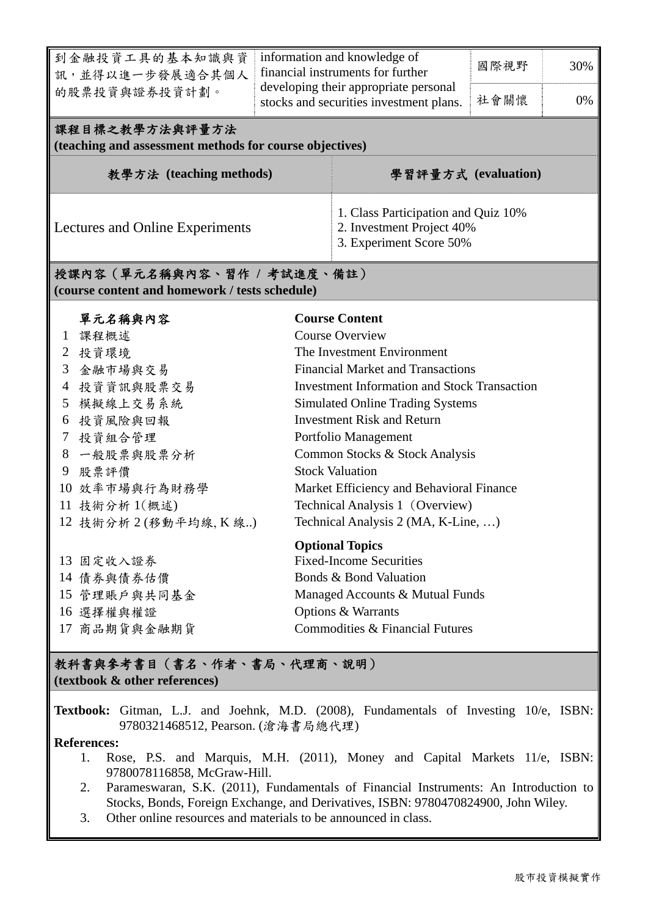| 到金融投資工具的基本知識與資<br>訊,並得以進一步發展適合其個人                                             | information and knowledge of<br>financial instruments for further                           |                                                                                  | 國際視野 | 30%                   |  |  |  |  |
|-------------------------------------------------------------------------------|---------------------------------------------------------------------------------------------|----------------------------------------------------------------------------------|------|-----------------------|--|--|--|--|
| 的股票投資與證券投資計劃。                                                                 |                                                                                             | developing their appropriate personal<br>stocks and securities investment plans. |      | 0%                    |  |  |  |  |
| 課程目標之教學方法與評量方法<br>(teaching and assessment methods for course objectives)     |                                                                                             |                                                                                  |      |                       |  |  |  |  |
| 教學方法 (teaching methods)                                                       | 學習評量方式 (evaluation)                                                                         |                                                                                  |      |                       |  |  |  |  |
| Lectures and Online Experiments                                               | 1. Class Participation and Quiz 10%<br>2. Investment Project 40%<br>3. Experiment Score 50% |                                                                                  |      |                       |  |  |  |  |
| 授課內容 (單元名稱與內容、習作 / 考試進度、備註)<br>(course content and homework / tests schedule) |                                                                                             |                                                                                  |      |                       |  |  |  |  |
| 單元名稱與內容                                                                       |                                                                                             |                                                                                  |      | <b>Course Content</b> |  |  |  |  |
| 課程概述<br>$\mathbf{1}$                                                          |                                                                                             | <b>Course Overview</b>                                                           |      |                       |  |  |  |  |
| 投資環境<br>2                                                                     |                                                                                             | The Investment Environment                                                       |      |                       |  |  |  |  |
| 3<br>金融市場與交易                                                                  |                                                                                             | <b>Financial Market and Transactions</b>                                         |      |                       |  |  |  |  |
| 投資資訊與股票交易<br>4                                                                |                                                                                             | <b>Investment Information and Stock Transaction</b>                              |      |                       |  |  |  |  |
| 模擬線上交易系統<br>5                                                                 |                                                                                             | <b>Simulated Online Trading Systems</b>                                          |      |                       |  |  |  |  |
| 投資風險與回報<br>6                                                                  |                                                                                             | <b>Investment Risk and Return</b>                                                |      |                       |  |  |  |  |
| 投資組合管理<br>7                                                                   |                                                                                             | Portfolio Management                                                             |      |                       |  |  |  |  |
| 一般股票與股票分析<br>8                                                                |                                                                                             | Common Stocks & Stock Analysis                                                   |      |                       |  |  |  |  |
| 9<br>股票評價                                                                     |                                                                                             | <b>Stock Valuation</b>                                                           |      |                       |  |  |  |  |
| 10 效率市場與行為財務學                                                                 |                                                                                             | Market Efficiency and Behavioral Finance                                         |      |                       |  |  |  |  |
| 11 技術分析 1(概述)                                                                 |                                                                                             | Technical Analysis 1 (Overview)                                                  |      |                       |  |  |  |  |
| 12 技術分析 2 (移動平均線, K 線)                                                        |                                                                                             | Technical Analysis 2 (MA, K-Line, )                                              |      |                       |  |  |  |  |
|                                                                               |                                                                                             | <b>Optional Topics</b>                                                           |      |                       |  |  |  |  |
| 13 固定收入證券                                                                     |                                                                                             | <b>Fixed-Income Securities</b>                                                   |      |                       |  |  |  |  |
| 14 債券與債券估價                                                                    |                                                                                             | Bonds & Bond Valuation                                                           |      |                       |  |  |  |  |
| 15 管理賬戶與共同基金                                                                  |                                                                                             | Managed Accounts & Mutual Funds                                                  |      |                       |  |  |  |  |
| 16 選擇權與權證                                                                     |                                                                                             | Options & Warrants                                                               |      |                       |  |  |  |  |
| Commodities & Financial Futures<br>17 商品期貨與金融期貨                               |                                                                                             |                                                                                  |      |                       |  |  |  |  |
| 教科書與參考書目(書名、作者、書局、代理商、說明)<br>(textbook & other references)                    |                                                                                             |                                                                                  |      |                       |  |  |  |  |

**Textbook:** Gitman, L.J. and Joehnk, M.D. (2008), Fundamentals of Investing 10/e, ISBN: 9780321468512, Pearson. (滄海書局總代理)

#### **References:**

- 1. Rose, P.S. and Marquis, M.H. (2011), Money and Capital Markets 11/e, ISBN: 9780078116858, McGraw-Hill.
- 2. Parameswaran, S.K. (2011), Fundamentals of Financial Instruments: An Introduction to Stocks, Bonds, Foreign Exchange, and Derivatives, ISBN: 9780470824900, John Wiley.
- 3. Other online resources and materials to be announced in class.